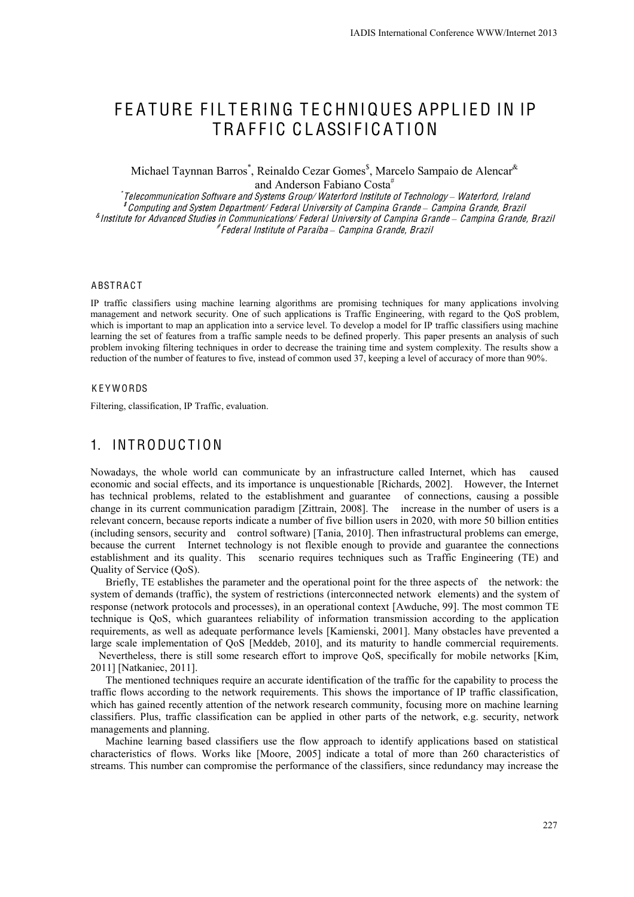# FEATURE FILTERING TECHNIQUES APPLIED IN IP TRAFFIC CLASSIFICATION

Michael Taynnan Barros<sup>\*</sup>, Reinaldo Cezar Gomes<sup>\$</sup>, Marcelo Sampaio de Alencar<sup>&</sup> and Anderson Fabiano Costa<sup>#</sup>

\* Telecommunication Softwar<sup>e</sup> and System<sup>s</sup> Group/ Waterford Institut<sup>e</sup> <sup>o</sup>f Technology *–* Waterford, Ireland \$ Computing and <sup>S</sup>yste<sup>m</sup> <sup>D</sup>epartment/ <sup>F</sup>ederal Universit<sup>y</sup> <sup>o</sup><sup>f</sup> Campina Grand<sup>e</sup> *–* Campina Grande, Brazil & Institut<sup>e</sup> <sup>f</sup>or Advance<sup>d</sup> <sup>S</sup>tudie<sup>s</sup> in Communications/ <sup>F</sup>ederal Universit<sup>y</sup> <sup>o</sup><sup>f</sup> Campina Grand<sup>e</sup> *–* Campina Grande, Brazil # <sup>F</sup>ederal Institut<sup>e</sup> <sup>o</sup><sup>f</sup> Paraíba *–* Campina Grande, Brazil

#### **ABSTRACT**

IP traffic classifiers using machine learning algorithms are promising techniques for many applications involving management and network security. One of such applications is Traffic Engineering, with regard to the QoS problem, which is important to map an application into a service level. To develop a model for IP traffic classifiers using machine learning the set of features from a traffic sample needs to be defined properly. This paper presents an analysis of such problem invoking filtering techniques in order to decrease the training time and system complexity. The results show a reduction of the number of features to five, instead of common used 37, keeping a level of accuracy of more than 90%.

#### **KEYWORDS**

Filtering, classification, IP Traffic, evaluation.

# 1. INTRODUCTION

Nowadays, the whole world can communicate by an infrastructure called Internet, which has caused economic and social effects, and its importance is unquestionable [Richards, 2002]. However, the Internet has technical problems, related to the establishment and guarantee of connections, causing a possible change in its current communication paradigm [Zittrain, 2008]. The increase in the number of users is a relevant concern, because reports indicate a number of five billion users in 2020, with more 50 billion entities (including sensors, security and control software) [Tania, 2010]. Then infrastructural problems can emerge, because the current Internet technology is not flexible enough to provide and guarantee the connections establishment and its quality. This scenario requires techniques such as Traffic Engineering (TE) and Quality of Service (QoS).

Briefly, TE establishes the parameter and the operational point for the three aspects of the network: the system of demands (traffic), the system of restrictions (interconnected network elements) and the system of response (network protocols and processes), in an operational context [Awduche, 99]. The most common TE technique is QoS, which guarantees reliability of information transmission according to the application requirements, as well as adequate performance levels [Kamienski, 2001]. Many obstacles have prevented a large scale implementation of QoS [Meddeb, 2010], and its maturity to handle commercial requirements. Nevertheless, there is still some research effort to improve QoS, specifically for mobile networks [Kim,

2011] [Natkaniec, 2011].

The mentioned techniques require an accurate identification of the traffic for the capability to process the traffic flows according to the network requirements. This shows the importance of IP traffic classification, which has gained recently attention of the network research community, focusing more on machine learning classifiers. Plus, traffic classification can be applied in other parts of the network, e.g. security, network managements and planning.

Machine learning based classifiers use the flow approach to identify applications based on statistical characteristics of flows. Works like [Moore, 2005] indicate a total of more than 260 characteristics of streams. This number can compromise the performance of the classifiers, since redundancy may increase the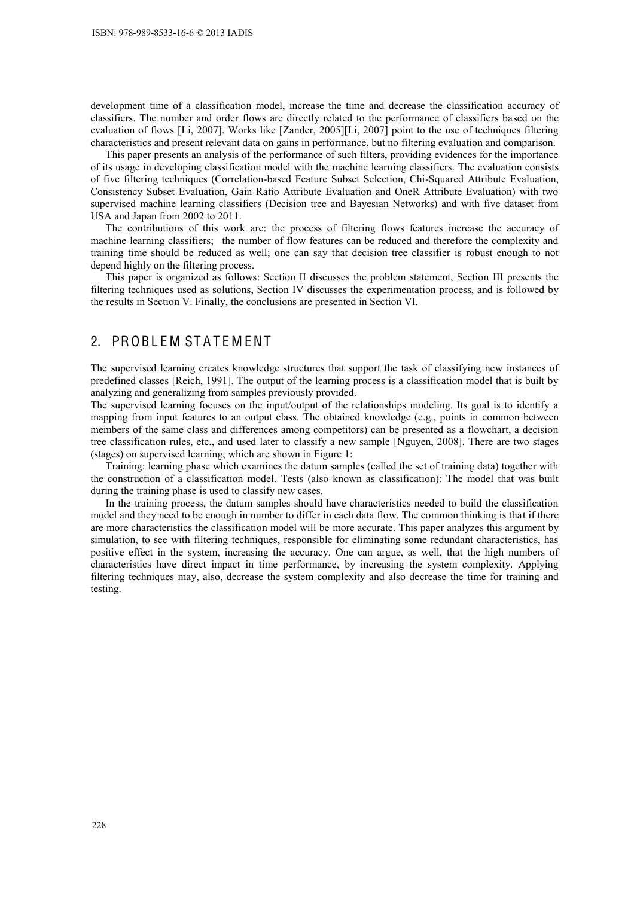development time of a classification model, increase the time and decrease the classification accuracy of classifiers. The number and order flows are directly related to the performance of classifiers based on the evaluation of flows [Li, 2007]. Works like [Zander, 2005][Li, 2007] point to the use of techniques filtering characteristics and present relevant data on gains in performance, but no filtering evaluation and comparison.

This paper presents an analysis of the performance of such filters, providing evidences for the importance of its usage in developing classification model with the machine learning classifiers. The evaluation consists of five filtering techniques (Correlation-based Feature Subset Selection, Chi-Squared Attribute Evaluation, Consistency Subset Evaluation, Gain Ratio Attribute Evaluation and OneR Attribute Evaluation) with two supervised machine learning classifiers (Decision tree and Bayesian Networks) and with five dataset from USA and Japan from 2002 to 2011.

The contributions of this work are: the process of filtering flows features increase the accuracy of machine learning classifiers; the number of flow features can be reduced and therefore the complexity and training time should be reduced as well; one can say that decision tree classifier is robust enough to not depend highly on the filtering process.

This paper is organized as follows: Section II discusses the problem statement, Section III presents the filtering techniques used as solutions, Section IV discusses the experimentation process, and is followed by the results in Section V. Finally, the conclusions are presented in Section VI.

#### 2. PROBLEM STATEMENT

The supervised learning creates knowledge structures that support the task of classifying new instances of predefined classes [Reich, 1991]. The output of the learning process is a classification model that is built by analyzing and generalizing from samples previously provided.

The supervised learning focuses on the input/output of the relationships modeling. Its goal is to identify a mapping from input features to an output class. The obtained knowledge (e.g., points in common between members of the same class and differences among competitors) can be presented as a flowchart, a decision tree classification rules, etc., and used later to classify a new sample [Nguyen, 2008]. There are two stages (stages) on supervised learning, which are shown in Figure 1:

Training: learning phase which examines the datum samples (called the set of training data) together with the construction of a classification model. Tests (also known as classification): The model that was built during the training phase is used to classify new cases.

In the training process, the datum samples should have characteristics needed to build the classification model and they need to be enough in number to differ in each data flow. The common thinking is that if there are more characteristics the classification model will be more accurate. This paper analyzes this argument by simulation, to see with filtering techniques, responsible for eliminating some redundant characteristics, has positive effect in the system, increasing the accuracy. One can argue, as well, that the high numbers of characteristics have direct impact in time performance, by increasing the system complexity. Applying filtering techniques may, also, decrease the system complexity and also decrease the time for training and testing.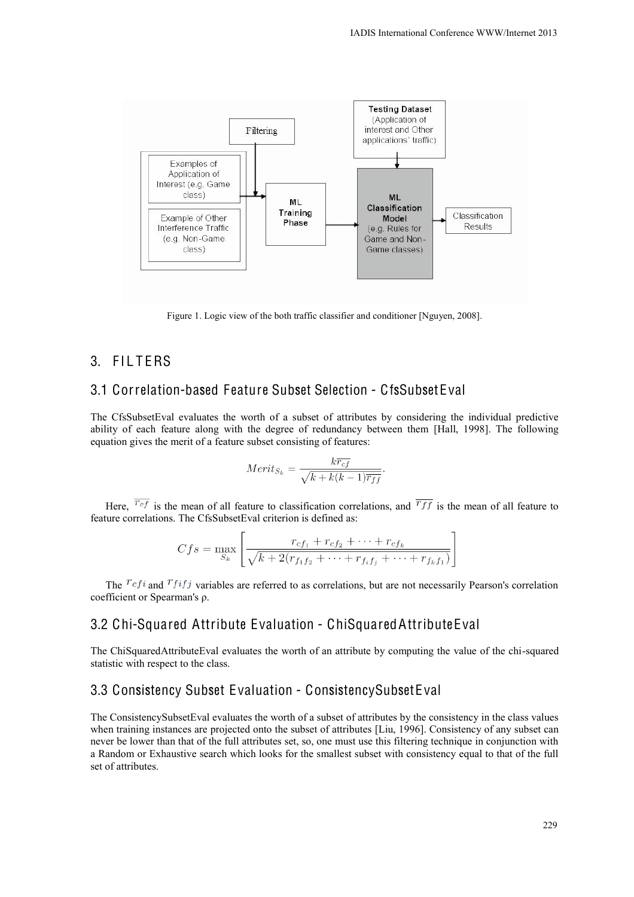

Figure 1. Logic view of the both traffic classifier and conditioner [Nguyen, 2008].

## 3. FII TFRS

### 3.1 Correlation-based Feature Subset Selection - CfsSubsetEval

The CfsSubsetEval evaluates the worth of a subset of attributes by considering the individual predictive ability of each feature along with the degree of redundancy between them [Hall, 1998]. The following equation gives the merit of a feature subset consisting of features:

$$
Merit_{S_k} = \frac{k\overline{r_{cf}}}{\sqrt{k + k(k-1)\overline{r_{ff}}}}
$$

Here,  $\overline{r_{cf}}$  is the mean of all feature to classification correlations, and  $\overline{r_{ff}}$  is the mean of all feature to feature correlations. The CfsSubsetEval criterion is defined as:

$$
Cfs = \max_{S_k} \left[ \frac{r_{cf_1} + r_{cf_2} + \dots + r_{cf_k}}{\sqrt{k + 2(r_{f_1f_2} + \dots + r_{f_if_j} + \dots + r_{f_kf_1})}} \right]
$$

The  $Tcfi$  and  $Tfij$  variables are referred to as correlations, but are not necessarily Pearson's correlation coefficient or Spearman's ρ.

#### 3.2 Chi-Squared Attribute Evaluation - ChiSquaredAttributeEval

The ChiSquaredAttributeEval evaluates the worth of an attribute by computing the value of the chi-squared statistic with respect to the class.

### 3.3 Consistency Subset Evaluation - ConsistencySubsetEval

The ConsistencySubsetEval evaluates the worth of a subset of attributes by the consistency in the class values when training instances are projected onto the subset of attributes [Liu, 1996]. Consistency of any subset can never be lower than that of the full attributes set, so, one must use this filtering technique in conjunction with a Random or Exhaustive search which looks for the smallest subset with consistency equal to that of the full set of attributes.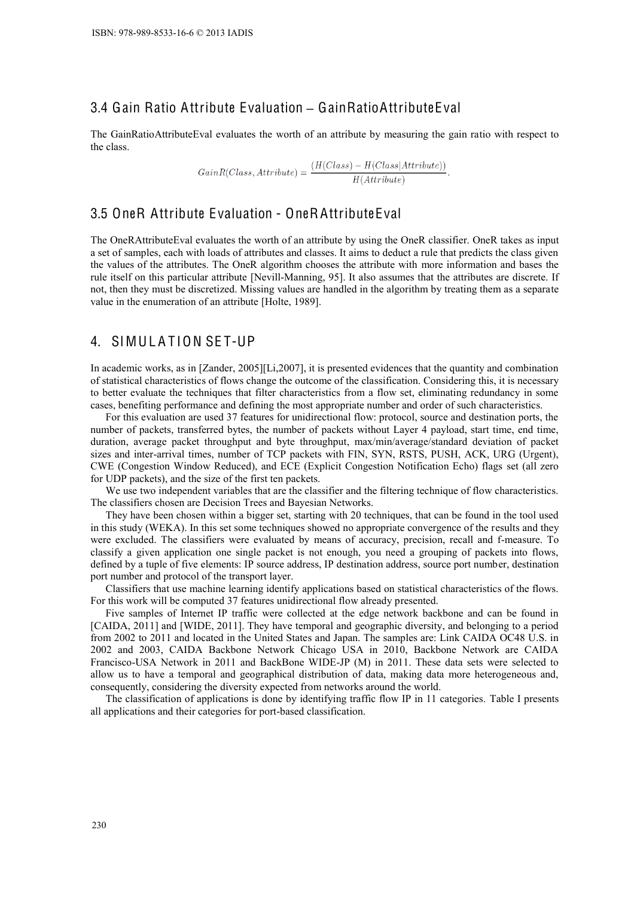## 3.4 Gain Ratio Attribute Evaluation **–** GainRatioAttributeEval

The GainRatioAttributeEval evaluates the worth of an attribute by measuring the gain ratio with respect to the class.

$$
GainR(Class,Attribute) = \frac{(H(Class) - H(Class|Attribute))}{H(Attribute)}.
$$

#### 3.5 OneR Attribute Evaluation - OneRAttributeEval

The OneRAttributeEval evaluates the worth of an attribute by using the OneR classifier. OneR takes as input a set of samples, each with loads of attributes and classes. It aims to deduct a rule that predicts the class given the values of the attributes. The OneR algorithm chooses the attribute with more information and bases the rule itself on this particular attribute [Nevill-Manning, 95]. It also assumes that the attributes are discrete. If not, then they must be discretized. Missing values are handled in the algorithm by treating them as a separate value in the enumeration of an attribute [Holte, 1989].

#### 4. SIMULATION SET-UP

In academic works, as in [Zander, 2005][Li,2007], it is presented evidences that the quantity and combination of statistical characteristics of flows change the outcome of the classification. Considering this, it is necessary to better evaluate the techniques that filter characteristics from a flow set, eliminating redundancy in some cases, benefiting performance and defining the most appropriate number and order of such characteristics.

For this evaluation are used 37 features for unidirectional flow: protocol, source and destination ports, the number of packets, transferred bytes, the number of packets without Layer 4 payload, start time, end time, duration, average packet throughput and byte throughput, max/min/average/standard deviation of packet sizes and inter-arrival times, number of TCP packets with FIN, SYN, RSTS, PUSH, ACK, URG (Urgent), CWE (Congestion Window Reduced), and ECE (Explicit Congestion Notification Echo) flags set (all zero for UDP packets), and the size of the first ten packets.

We use two independent variables that are the classifier and the filtering technique of flow characteristics. The classifiers chosen are Decision Trees and Bayesian Networks.

They have been chosen within a bigger set, starting with 20 techniques, that can be found in the tool used in this study (WEKA). In this set some techniques showed no appropriate convergence of the results and they were excluded. The classifiers were evaluated by means of accuracy, precision, recall and f-measure. To classify a given application one single packet is not enough, you need a grouping of packets into flows, defined by a tuple of five elements: IP source address, IP destination address, source port number, destination port number and protocol of the transport layer.

Classifiers that use machine learning identify applications based on statistical characteristics of the flows. For this work will be computed 37 features unidirectional flow already presented.

Five samples of Internet IP traffic were collected at the edge network backbone and can be found in [CAIDA, 2011] and [WIDE, 2011]. They have temporal and geographic diversity, and belonging to a period from 2002 to 2011 and located in the United States and Japan. The samples are: Link CAIDA OC48 U.S. in 2002 and 2003, CAIDA Backbone Network Chicago USA in 2010, Backbone Network are CAIDA Francisco-USA Network in 2011 and BackBone WIDE-JP (M) in 2011. These data sets were selected to allow us to have a temporal and geographical distribution of data, making data more heterogeneous and, consequently, considering the diversity expected from networks around the world.

The classification of applications is done by identifying traffic flow IP in 11 categories. Table I presents all applications and their categories for port-based classification.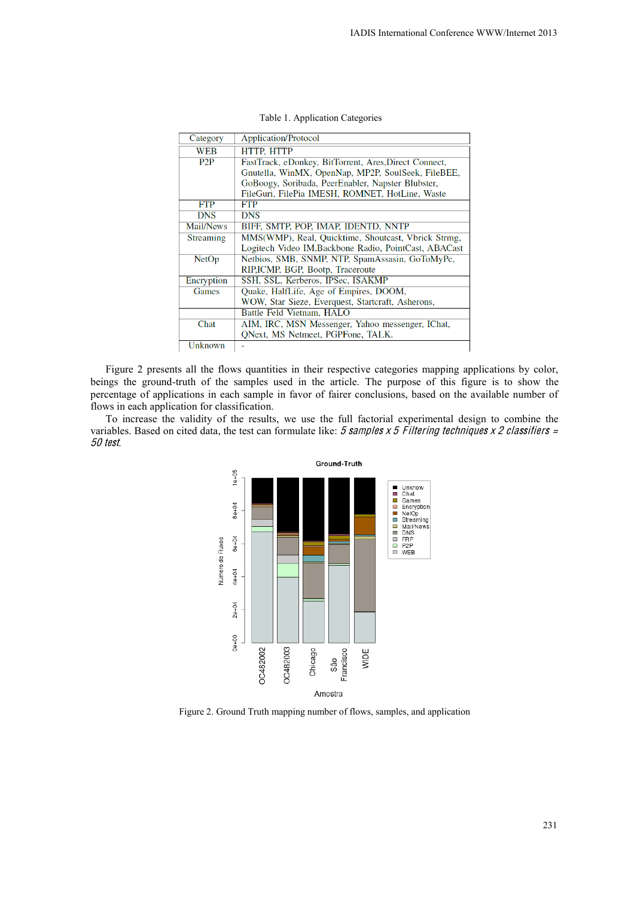| Category     | <b>Application/Protocol</b>                           |  |  |  |
|--------------|-------------------------------------------------------|--|--|--|
| WEB          | <b>HTTP, HTTP</b>                                     |  |  |  |
| P2P          | FastTrack, eDonkey, BitTorrent, Ares, Direct Connect, |  |  |  |
|              | Gnutella, WinMX, OpenNap, MP2P, SoulSeek, FileBEE,    |  |  |  |
|              | GoBoogy, Soribada, PeerEnabler, Napster Blubster,     |  |  |  |
|              | FileGuri, FilePia IMESH, ROMNET, HotLine, Waste       |  |  |  |
| <b>FTP</b>   | FTP                                                   |  |  |  |
| <b>DNS</b>   | <b>DNS</b>                                            |  |  |  |
| Mail/News    | BIFF, SMTP, POP, IMAP, IDENTD, NNTP                   |  |  |  |
| Streaming    | MMS(WMP), Real, Quicktime, Shoutcast, Vbrick Strmg,   |  |  |  |
|              | Logitech Video IM, Backbone Radio, PointCast, ABACast |  |  |  |
| <b>NetOp</b> | Netbios, SMB, SNMP, NTP, SpamAssasin, GoToMyPc,       |  |  |  |
|              | RIP,ICMP, BGP, Bootp, Traceroute                      |  |  |  |
| Encryption   | SSH, SSL, Kerberos, IPSec, ISAKMP                     |  |  |  |
| Games        | Quake, HalfLife, Age of Empires, DOOM,                |  |  |  |
|              | WOW, Star Sieze, Everquest, Startcraft, Asherons,     |  |  |  |
|              | Battle Feld Vietnam, HALO                             |  |  |  |
| Chat         | AIM, IRC, MSN Messenger, Yahoo messenger, IChat,      |  |  |  |
|              | QNext, MS Netmeet, PGPFone, TALK.                     |  |  |  |
| Unknown      |                                                       |  |  |  |

Table 1. Application Categories

Figure 2 presents all the flows quantities in their respective categories mapping applications by color, beings the ground-truth of the samples used in the article. The purpose of this figure is to show the percentage of applications in each sample in favor of fairer conclusions, based on the available number of flows in each application for classification.

To increase the validity of the results, we use the full factorial experimental design to combine the variables. Based on cited data, the test can formulate like:  $5$  samples  $x$  5 Filtering techniques  $x$  2 classifiers = 50 <sup>t</sup>est.



Figure 2. Ground Truth mapping number of flows, samples, and application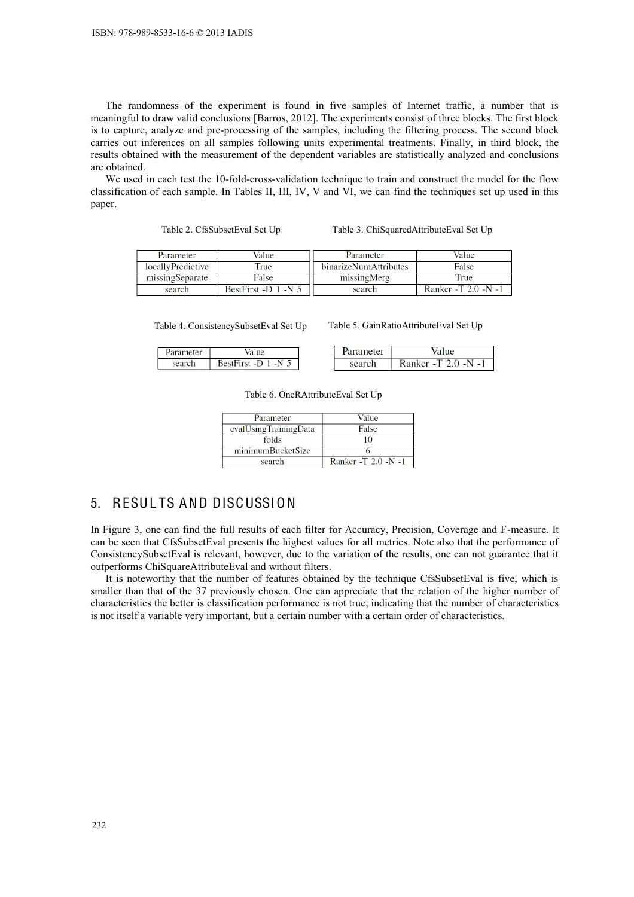The randomness of the experiment is found in five samples of Internet traffic, a number that is meaningful to draw valid conclusions [Barros, 2012]. The experiments consist of three blocks. The first block is to capture, analyze and pre-processing of the samples, including the filtering process. The second block carries out inferences on all samples following units experimental treatments. Finally, in third block, the results obtained with the measurement of the dependent variables are statistically analyzed and conclusions are obtained.

We used in each test the 10-fold-cross-validation technique to train and construct the model for the flow classification of each sample. In Tables II, III, IV, V and VI, we can find the techniques set up used in this paper.

Table 2. CfsSubsetEval Set Up Table 3. ChiSquaredAttributeEval Set Up

| Parameter         | Value                   | Parameter             | Value               |
|-------------------|-------------------------|-----------------------|---------------------|
| locallyPredictive | Frue                    | binarizeNumAttributes | False               |
| missingSeparate   | False                   | missingMerg           | True                |
| search            | BestFirst -D $1$ -N $5$ | search                | Ranker -T 2.0 -N -1 |

Table 4. ConsistencySubsetEval Set Up Table 5. GainRatioAttributeEval Set Up

| arameter |                                          | ameter: |                     |
|----------|------------------------------------------|---------|---------------------|
| search   | <b>RestFirst</b><br>N<br>-11<br>$\sim$ 1 | search  | ` -N.<br>Ranker - I |

Table 6. OneRAttributeEval Set Up

| Parameter             | Value               |
|-----------------------|---------------------|
| evalUsingTrainingData | False               |
| folds                 |                     |
| minimumBucketSize     |                     |
| search                | Ranker -T 2.0 -N -1 |

# 5. RESUL TS AND DISCUSSION

In Figure 3, one can find the full results of each filter for Accuracy, Precision, Coverage and F-measure. It can be seen that CfsSubsetEval presents the highest values for all metrics. Note also that the performance of ConsistencySubsetEval is relevant, however, due to the variation of the results, one can not guarantee that it outperforms ChiSquareAttributeEval and without filters.

It is noteworthy that the number of features obtained by the technique CfsSubsetEval is five, which is smaller than that of the 37 previously chosen. One can appreciate that the relation of the higher number of characteristics the better is classification performance is not true, indicating that the number of characteristics is not itself a variable very important, but a certain number with a certain order of characteristics.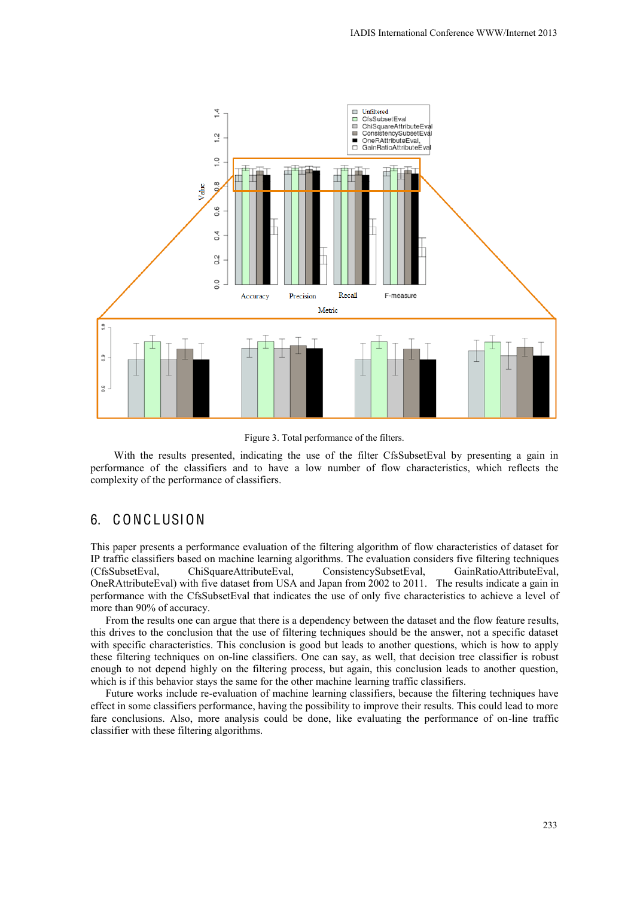

Figure 3. Total performance of the filters.

With the results presented, indicating the use of the filter CfsSubsetEval by presenting a gain in performance of the classifiers and to have a low number of flow characteristics, which reflects the complexity of the performance of classifiers.

# 6. C ONC LUSION

This paper presents a performance evaluation of the filtering algorithm of flow characteristics of dataset for IP traffic classifiers based on machine learning algorithms. The evaluation considers five filtering techniques (CfsSubsetEval, ChiSquareAttributeEval, ConsistencySubsetEval, GainRatioAttributeEval, OneRAttributeEval) with five dataset from USA and Japan from 2002 to 2011. The results indicate a gain in performance with the CfsSubsetEval that indicates the use of only five characteristics to achieve a level of more than 90% of accuracy.

From the results one can argue that there is a dependency between the dataset and the flow feature results, this drives to the conclusion that the use of filtering techniques should be the answer, not a specific dataset with specific characteristics. This conclusion is good but leads to another questions, which is how to apply these filtering techniques on on-line classifiers. One can say, as well, that decision tree classifier is robust enough to not depend highly on the filtering process, but again, this conclusion leads to another question, which is if this behavior stays the same for the other machine learning traffic classifiers.

Future works include re-evaluation of machine learning classifiers, because the filtering techniques have effect in some classifiers performance, having the possibility to improve their results. This could lead to more fare conclusions. Also, more analysis could be done, like evaluating the performance of on-line traffic classifier with these filtering algorithms.